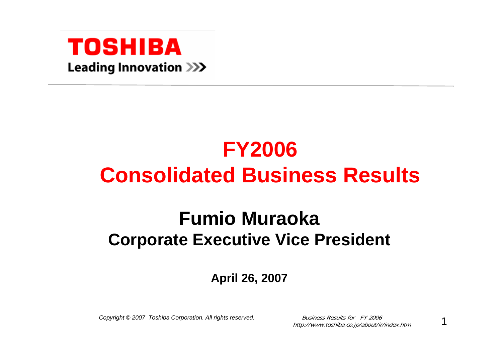

## **FY2006 Consolidated Business Results**

## **Fumio MuraokaCorporate Executive Vice President**

### **April 26, 2007**

*Copyright © 2007 Toshiba Corporation. All rights reserved.* Business Results for FY 2006

http://www.toshiba.co.jp/about/ir/index.htm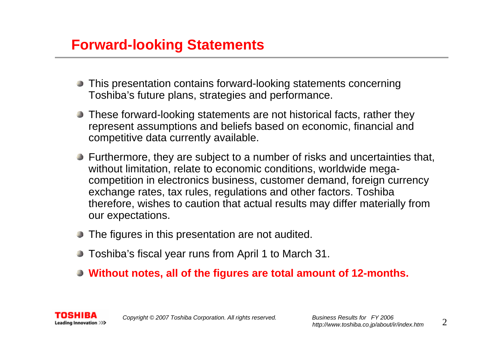### **Forward-looking Statements**

- This presentation contains forward-looking statements concerning Toshiba's future plans, strategies and performance.
- **These forward-looking statements are not historical facts, rather they** represent assumptions and beliefs based on economic, financial and competitive data currently available.
- **Furthermore, they are subject to a number of risks and uncertainties that,** without limitation, relate to economic conditions, worldwide megacompetition in electronics business, customer demand, foreign currency exchange rates, tax rules, regulations and other factors. Toshiba therefore, wishes to caution that actual results may differ materially from our expectations.
- The figures in this presentation are not audited.
- Toshiba's fiscal year runs from April 1 to March 31.
- **Without notes, all of the figures are total amount of 12-months.**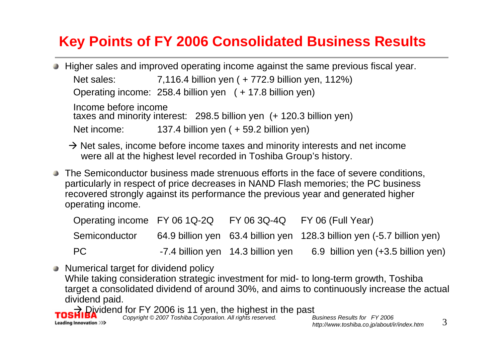### **Key Points of FY 2006 Consolidated Business Results**

Higher sales and improved operating income against the same previous fiscal year.

Net sales: 7,116.4 billion yen ( + 772.9 billion yen, 112%)

Operating income: 258.4 billion yen ( + 17.8 billion yen)

Income before income taxes and minority interest: 298.5 billion yen (+ 120.3 billion yen) Net income: 137.4 billion yen ( + 59.2 billion yen)

- $\rightarrow$  Net sales, income before income taxes and minority interests and net income were all at the highest level recorded in Toshiba Group's history.
- The Semiconductor business made strenuous efforts in the face of severe conditions, particularly in respect of price decreases in NAND Flash memories; the PC business recovered strongly against its performance the previous year and generated higher operating income.

| Operating income $FY$ 06 1Q-2Q $FY$ 06 3Q-4Q $FY$ 06 (Full Year) |                                   |                                                                        |
|------------------------------------------------------------------|-----------------------------------|------------------------------------------------------------------------|
| Semiconductor                                                    |                                   | 64.9 billion yen 63.4 billion yen 128.3 billion yen (-5.7 billion yen) |
| PC.                                                              | -7.4 billion yen 14.3 billion yen | 6.9 billion yen (+3.5 billion yen)                                     |

Numerical target for dividend policy While taking consideration strategic investment for mid- to long-term growth, Toshiba target a consolidated dividend of around 30%, and aims to continuously increase the actual dividend paid.

 $\rightarrow$  Dividend for FY 2006 is 11 yen, the highest in the past

Leading Innovation >>>

*Copyright © 2007 Toshiba Corporation. All rights reserved. Business Results for FY 2006 http://www.toshiba.co.jp/about/ir/index.htm*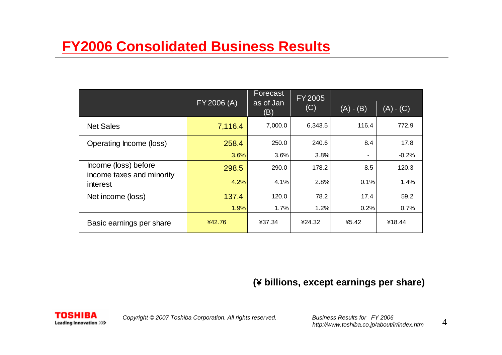|                                                   | FY 2006 (A) | Forecast<br>as of Jan<br>(B) | <b>FY2005</b><br>(C) |             |             |  |
|---------------------------------------------------|-------------|------------------------------|----------------------|-------------|-------------|--|
|                                                   |             |                              |                      | $(A) - (B)$ | $(A) - (C)$ |  |
| <b>Net Sales</b>                                  | 7,116.4     | 7,000.0                      | 6,343.5              | 116.4       | 772.9       |  |
| Operating Income (loss)                           | 258.4       | 250.0                        | 240.6                | 8.4         | 17.8        |  |
|                                                   | 3.6%        | 3.6%                         | 3.8%                 |             | $-0.2%$     |  |
| Income (loss) before<br>income taxes and minority | 298.5       | 290.0                        | 178.2                | 8.5         | 120.3       |  |
| interest                                          | 4.2%        | 4.1%                         | 2.8%                 | 0.1%        | 1.4%        |  |
| Net income (loss)                                 | 137.4       | 120.0                        | 78.2                 | 17.4        | 59.2        |  |
|                                                   | 1.9%        | 1.7%                         | 1.2%                 | 0.2%        | 0.7%        |  |
| Basic earnings per share                          | ¥42.76      | ¥37.34                       | ¥24.32               | 45.42       | ¥18.44      |  |

### **(**¥ **billions, except earnings per share)**

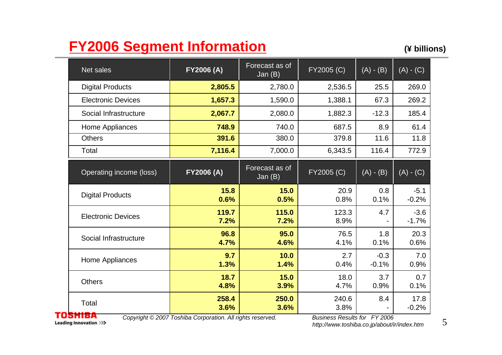### **FY2006 Segment Information (¥ billions)**

| Net sales                 | <b>FY2006 (A)</b> | Forecast as of<br>Jan $(B)$ | FY2005 (C)    | $(A) - (B)$       | $(A) - (C)$       |
|---------------------------|-------------------|-----------------------------|---------------|-------------------|-------------------|
| <b>Digital Products</b>   | 2,805.5           | 2,780.0                     | 2,536.5       | 25.5              | 269.0             |
| <b>Electronic Devices</b> | 1,657.3           | 1,590.0                     | 1,388.1       | 67.3              | 269.2             |
| Social Infrastructure     | 2,067.7           | 2,080.0                     | 1,882.3       | $-12.3$           | 185.4             |
| Home Appliances           | 748.9             | 740.0                       | 687.5         | 8.9               | 61.4              |
| <b>Others</b>             | 391.6             | 380.0                       | 379.8         | 11.6              | 11.8              |
| Total                     | 7,116.4           | 7,000.0                     | 6,343.5       | 116.4             | 772.9             |
| Operating income (loss)   | FY2006 (A)        | Forecast as of<br>Jan $(B)$ | FY2005 (C)    | $(A) - (B)$       | $(A) - (C)$       |
| <b>Digital Products</b>   | 15.8<br>0.6%      | 15.0<br>0.5%                | 20.9<br>0.8%  | 0.8<br>0.1%       | $-5.1$<br>$-0.2%$ |
| <b>Electronic Devices</b> | 119.7<br>7.2%     | 115.0<br>7.2%               | 123.3<br>8.9% | 4.7               | $-3.6$<br>$-1.7%$ |
| Social Infrastructure     | 96.8<br>4.7%      | 95.0<br>4.6%                | 76.5<br>4.1%  | 1.8<br>0.1%       | 20.3<br>0.6%      |
| Home Appliances           | 9.7<br>1.3%       | 10.0<br>1.4%                | 2.7<br>0.4%   | $-0.3$<br>$-0.1%$ | 7.0<br>0.9%       |
| <b>Others</b>             | 18.7<br>4.8%      | 15.0<br>3.9%                | 18.0<br>4.7%  | 3.7<br>0.9%       | 0.7<br>0.1%       |
| Total                     | 258.4<br>3.6%     | 250.0<br>3.6%               | 240.6<br>3.8% | 8.4               | 17.8<br>$-0.2%$   |

Leading Innovation >>>

*Copyright © 2007 Toshiba Corporation. All rights reserved. Business Results for FY 2006*

*http://www.toshiba.co.jp/about/ir/index.htm*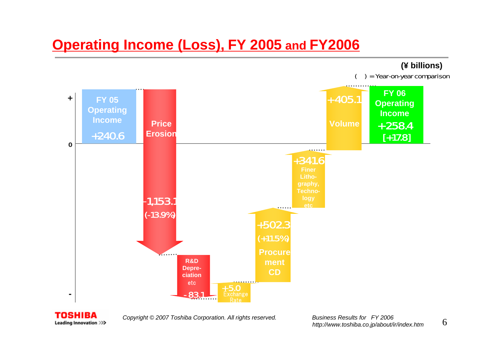### **Operating Income (Loss), FY 2005 and FY2006**





*Copyright © 2007 Toshiba Corporation. All rights reserved. Business Results for FY 2006*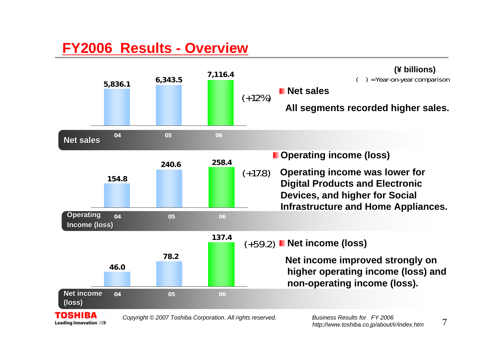### **FY2006 Results - Overview**

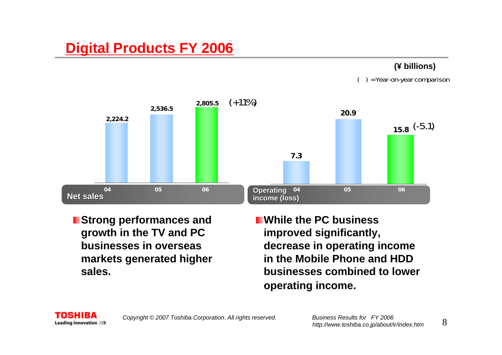### **Digital Products FY 2006**

#### **(¥ billions)**

( ) = Year-on-year comparison



**Strong performances and growth in the TV and PC businesses in overseas markets generated higher sales.**

**While the PC business improved significantly, decrease in operating income in the Mobile Phone and HDD businesses combined to lower operating income.**



*Copyright © 2007 Toshiba Corporation. All rights reserved. Business Results for FY 2006*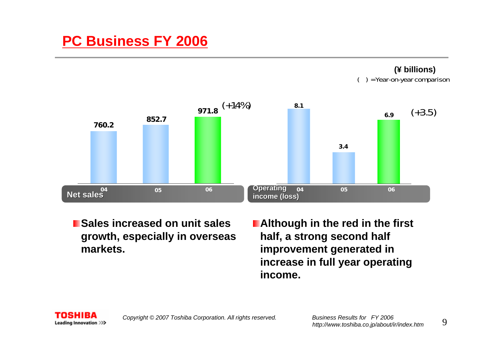### **PC Business FY 2006**

**(¥ billions)** ( ) = Year-on-year comparison



**Sales increased on unit sales growth, especially in overseas markets.**

**Although in the red in the first half, a strong second half improvement generated in increase in full year operating income.** 

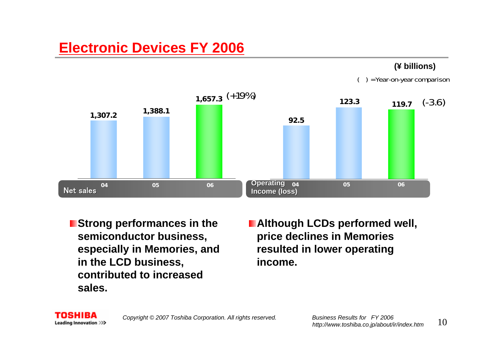### **Electronic Devices FY 2006**

#### **(¥ billions)**

( ) = Year-on-year comparison



**Extrong performances in the semiconductor business, especially in Memories, and in the LCD business, contributed to increased sales.**

 $\blacksquare$  **Although LCDs performed well, price declines in Memories resulted in lower operating income.** 

SHIRA Leading Innovation >>>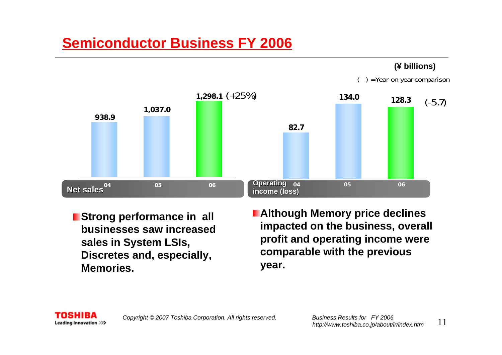### **Semiconductor Business FY 2006**

#### **(¥ billions)**

( ) = Year-on-year comparison



**Strong performance in all businesses saw increased sales in System LSIs, Discretes and, especially, Memories.**

**Although Memory price declines impacted on the business, overall profit and operating income were comparable with the previous year.**

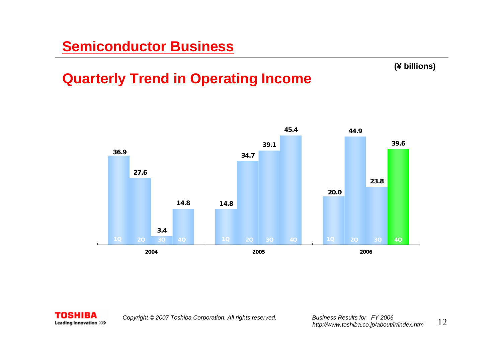#### **(¥ billions)**

### **Quarterly Trend in Operating Income**



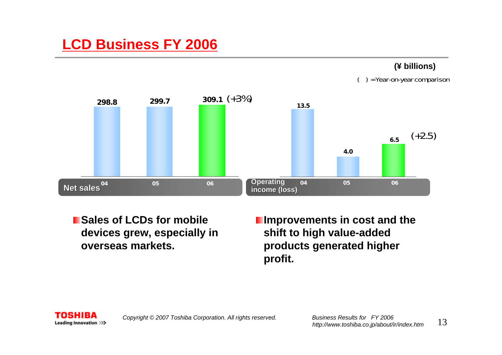### **LCD Business FY 2006**

#### **(¥ billions)**

( ) = Year-on-year comparison



**Example 3 In Sales of LCDs for mobile devices grew, especially in overseas markets.**

**I** Improvements in cost and the **shift to high value-added products generated higher profit.**

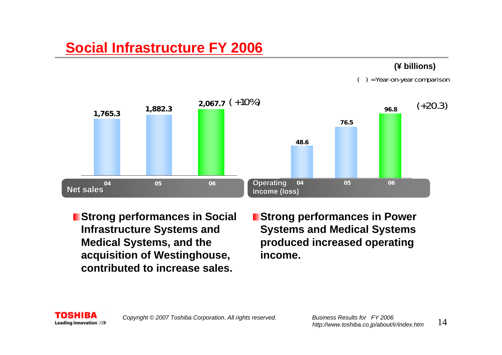### **Social Infrastructure FY 2006**

#### **(¥ billions)**

( ) = Year-on-year comparison



- **E** Strong performances in Social **Infrastructure Systems and Medical Systems, and the acquisition of Westinghouse, contributed to increase sales.**
- **Strong performances in Power Systems and Medical Systems produced increased operating income.**

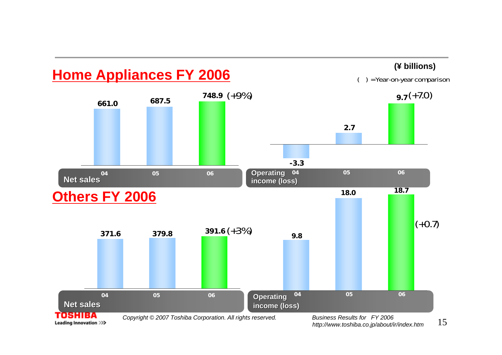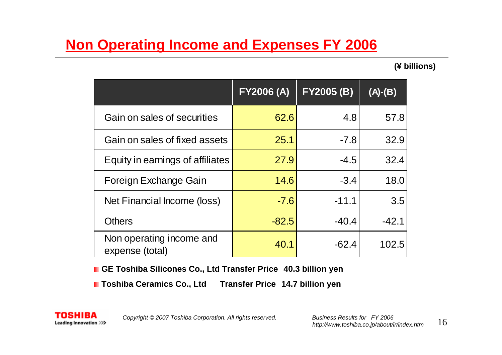### **Non Operating Income and Expenses FY 2006**

**(¥ billions)**

|                                             | <b>FY2006 (A)</b> | <b>FY2005 (B)</b> | $(A)-(B)$ |
|---------------------------------------------|-------------------|-------------------|-----------|
| Gain on sales of securities                 | 62.6              | 4.8               | 57.8      |
| Gain on sales of fixed assets               | 25.1              | $-7.8$            | 32.9      |
| Equity in earnings of affiliates            | 27.9              | $-4.5$            | 32.4      |
| Foreign Exchange Gain                       | 14.6              | $-3.4$            | 18.0      |
| Net Financial Income (loss)                 | $-7.6$            | $-11.1$           | 3.5       |
| <b>Others</b>                               | $-82.5$           | $-40.4$           | $-42.1$   |
| Non operating income and<br>expense (total) | 40.1              | $-62.4$           | 102.5     |

**GE Toshiba Silicones Co., Ltd Transfer Price 40.3 billion yen**

**Toshiba Ceramics Co., Ltd Transfer Price 14.7 billion yen**



*Copyright © 2007 Toshiba Corporation. All rights reserved. Business Results for FY 2006*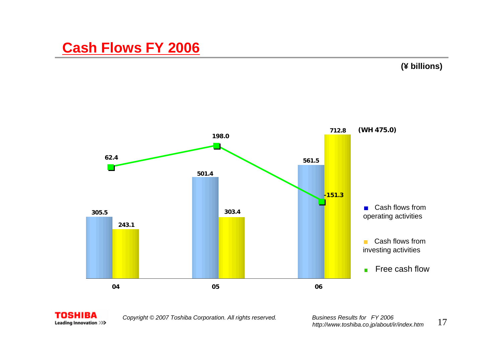### **Cash Flows FY 2006**

**(¥ billions)**





*Copyright © 2007 Toshiba Corporation. All rights reserved. Business Results for FY 2006*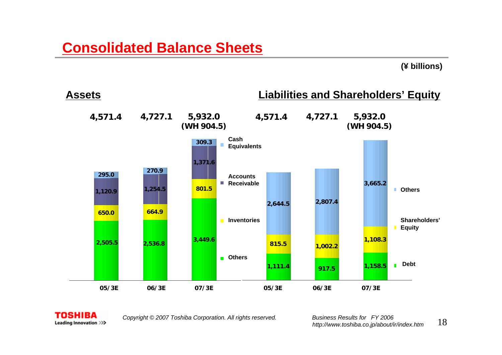#### **(¥ billions)**





*Copyright © 2007 Toshiba Corporation. All rights reserved. Business Results for FY 2006*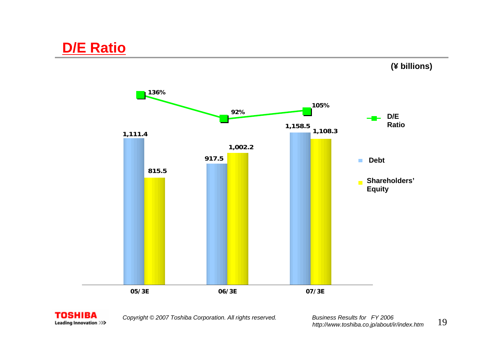**(¥ billions)**





*Copyright © 2007 Toshiba Corporation. All rights reserved. Business Results for FY 2006*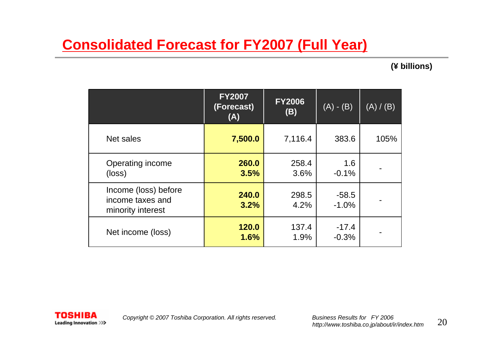### **Consolidated Forecast for FY2007 (Full Year)**

#### **(¥ billions)**

|                                                               | <b>FY2007</b><br>(Forecast)<br>(A) | <b>FY2006</b><br>(B) | $(A) - (B)$        | (A) / (B) |
|---------------------------------------------------------------|------------------------------------|----------------------|--------------------|-----------|
| Net sales                                                     | 7,500.0                            | 7,116.4              | 383.6              | 105%      |
| Operating income<br>(loss)                                    | 260.0<br>3.5%                      | 258.4<br>3.6%        | 1.6<br>$-0.1%$     |           |
| Income (loss) before<br>income taxes and<br>minority interest | 240.0<br>3.2%                      | 298.5<br>4.2%        | $-58.5$<br>$-1.0%$ |           |
| Net income (loss)                                             | 120.0<br>1.6%                      | 137.4<br>1.9%        | $-17.4$<br>$-0.3%$ |           |

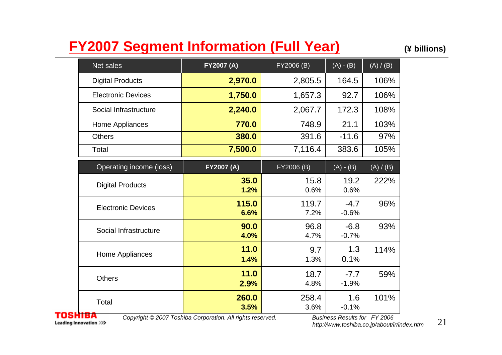### **FY2007 Segment Information (Full Year) (¥ billions)**

| Net sales                 | <b>FY2007 (A)</b> | FY2006 (B)    | $(A) - (B)$       | (A) / (B) |
|---------------------------|-------------------|---------------|-------------------|-----------|
| <b>Digital Products</b>   | 2,970.0           | 2,805.5       | 164.5             | 106%      |
| <b>Electronic Devices</b> | 1,750.0           | 1,657.3       | 92.7              | 106%      |
| Social Infrastructure     | 2,240.0           | 2,067.7       | 172.3             | 108%      |
| Home Appliances           | 770.0             | 748.9         | 21.1              | 103%      |
| <b>Others</b>             | 380.0             | 391.6         | $-11.6$           | 97%       |
| Total                     | 7,500.0           | 7,116.4       | 383.6             | 105%      |
| Operating income (loss)   | FY2007 (A)        | FY2006 (B)    | $(A) - (B)$       | (A)/ (B)  |
| <b>Digital Products</b>   | 35.0<br>1.2%      | 15.8<br>0.6%  | 19.2<br>0.6%      | 222%      |
| <b>Electronic Devices</b> | 115.0<br>6.6%     | 119.7<br>7.2% | $-4.7$<br>$-0.6%$ | 96%       |
| Social Infrastructure     | 90.0<br>4.0%      | 96.8<br>4.7%  | $-6.8$<br>$-0.7%$ | 93%       |
| Home Appliances           | 11.0<br>1.4%      | 9.7<br>1.3%   | 1.3<br>0.1%       | 114%      |
| <b>Others</b>             | 11.0<br>2.9%      | 18.7<br>4.8%  | $-7.7$<br>$-1.9%$ | 59%       |
| Total                     | 260.0<br>3.5%     | 258.4<br>3.6% | 1.6<br>$-0.1%$    | 101%      |

**TOSHIBA** Leading Innovation >>>

*Copyright © 2007 Toshiba Corporation. All rights reserved. Business Results for FY 2006*